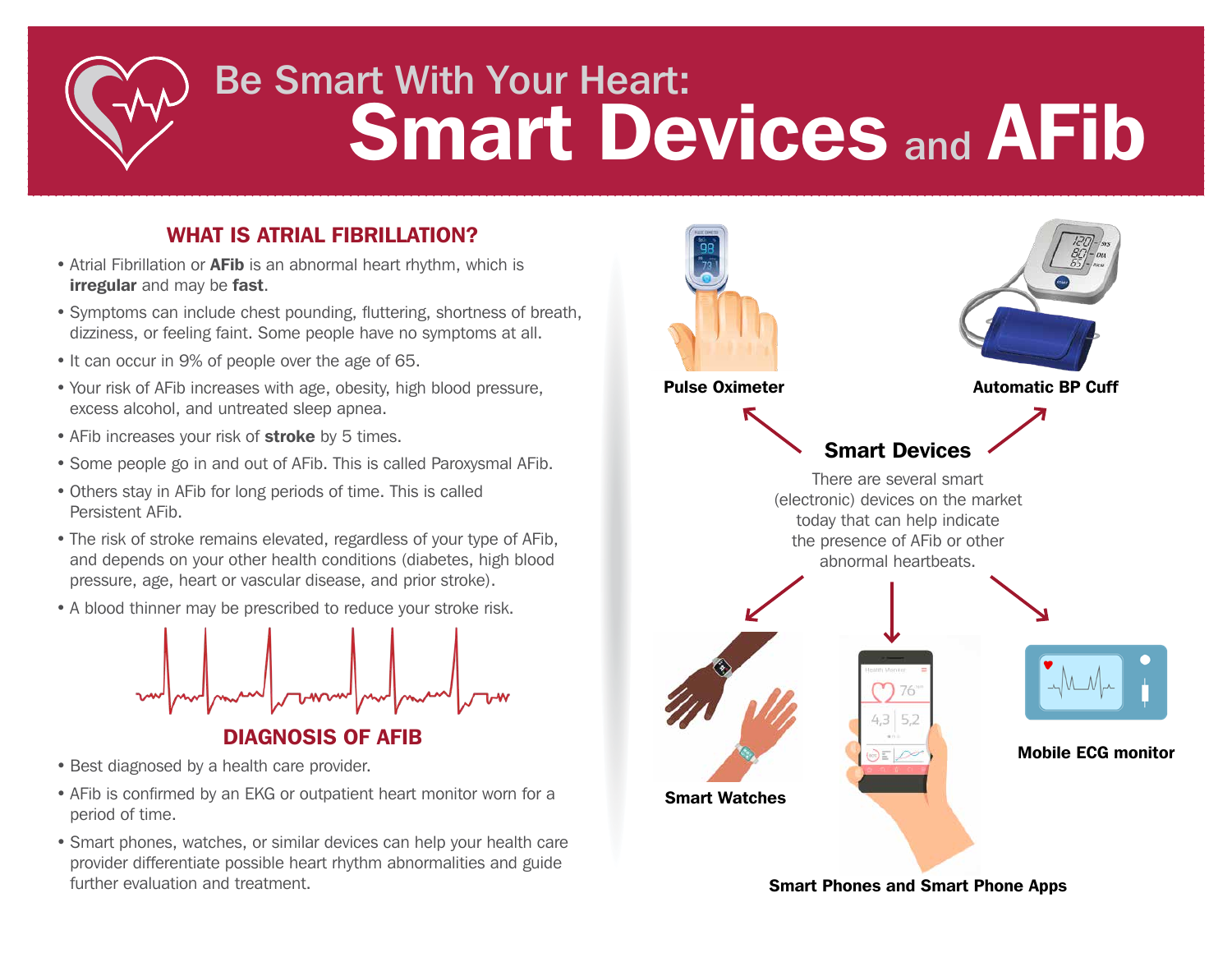# Be Smart With Your Heart: Smart Devices and AFib

### WHAT IS ATRIAL FIBRILLATION?

- Atrial Fibrillation or **AFib** is an abnormal heart rhythm, which is **irregular** and may be **fast**.
- Symptoms can include chest pounding, fluttering, shortness of breath, dizziness, or feeling faint. Some people have no symptoms at all.
- It can occur in 9% of people over the age of 65.
- Your risk of AFib increases with age, obesity, high blood pressure, excess alcohol, and untreated sleep apnea.
- AFib increases your risk of **stroke** by 5 times.
- Some people go in and out of AFib. This is called Paroxysmal AFib.
- Others stay in AFib for long periods of time. This is called Persistent AFib.
- The risk of stroke remains elevated, regardless of your type of AFib, and depends on your other health conditions (diabetes, high blood pressure, age, heart or vascular disease, and prior stroke).
- A blood thinner may be prescribed to reduce your stroke risk.



- Best diagnosed by a health care provider.
- AFib is confirmed by an EKG or outpatient heart monitor worn for a period of time.
- Smart phones, watches, or similar devices can help your health care provider differentiate possible heart rhythm abnormalities and guide further evaluation and treatment.



Smart Phones and Smart Phone Apps